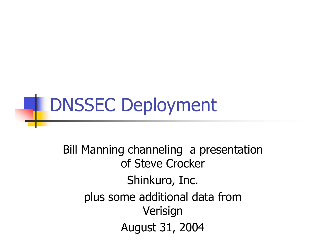

Bill Manning channeling a presentation of Steve Crocker Shinkuro, Inc. plus some additional data from Verisign August 31, 2004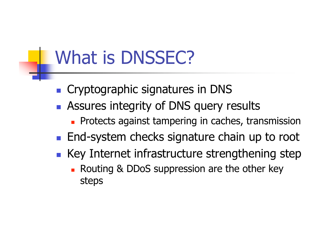### What is DNSSEC?

- **Cryptographic signatures in DNS**
- **Assures integrity of DNS query results** 
	- **Protects against tampering in caches, transmission**
- **End-system checks signature chain up to root**
- Key Internet infrastructure strengthening step
	- Routing & DDoS suppression are the other key steps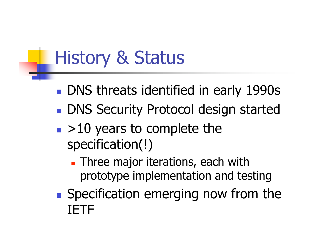# History & Status

- **DNS threats identified in early 1990s**
- **DNS Security Protocol design started**
- $\blacktriangleright$  10 years to complete the specification(!)
	- **Three major iterations, each with** prototype implementation and testing
- Specification emerging now from the IETF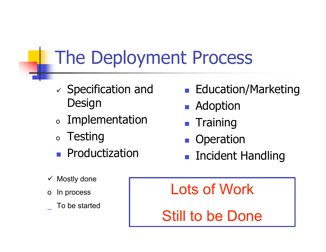# The Deployment Process

- $\checkmark$  Specification and **Design**
- <sup>o</sup> Implementation
- <sup>o</sup> Testing
- Productization
- **Education/Marketing**
- **Adoption**
- **Training**
- **Deration**
- Incident Handling

- $\checkmark$  Mostly done
- In process
- \_ To be started

Lots of Work

Still to be Done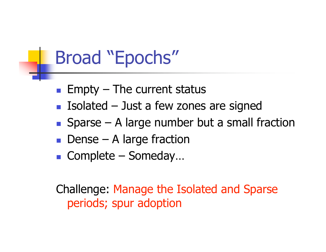#### Broad "Epochs"

- $\blacksquare$  Empty The current status
- Isolated  $-$  Just a few zones are signed
- $\blacksquare$  Sparse A large number but a small fraction
- $\blacksquare$  Dense A large fraction
- Complete Someday...

Challenge: Manage the Isolated and Sparse periods; spur adoption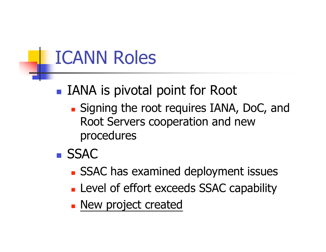#### ICANN Roles

- IANA is pivotal point for Root
	- **Signing the root requires IANA, DoC, and** Root Servers cooperation and new procedures
- SSAC
	- **SSAC has examined deployment issues**
	- **Level of effort exceeds SSAC capability**
	- **New project created**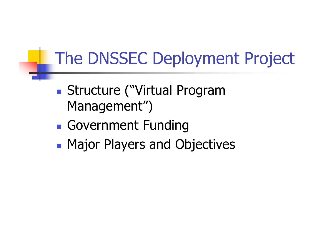#### The DNSSEC Deployment Project

- Structure ("Virtual Program Management")
- Government Funding
- Major Players and Objectives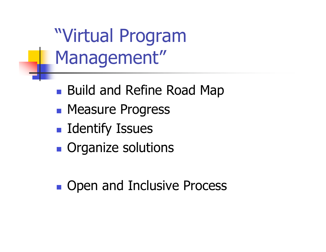"Virtual Program Management"

- **Build and Refine Road Map**
- **Measure Progress**
- **I** Identify Issues
- **Organize solutions**
- **Den and Inclusive Process**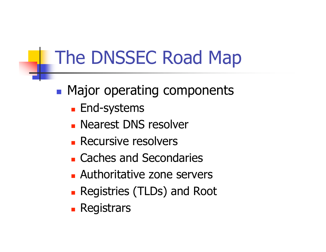# The DNSSEC Road Map

- **Major operating components** 
	- **End-systems**
	- **Nearest DNS resolver**
	- **Recursive resolvers**
	- Caches and Secondaries
	- Authoritative zone servers
	- Registries (TLDs) and Root
	- **Registrars**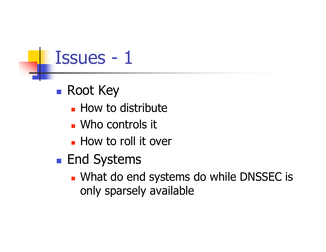### Issues - 1

#### ■ Root Key

- **How to distribute**
- Who controls it
- **How to roll it over**
- **End Systems** 
	- What do end systems do while DNSSEC is only sparsely available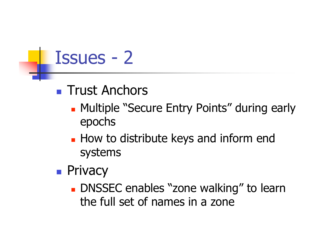### Issues - 2

- **Trust Anchors** 
	- **Multiple "Secure Entry Points" during early** epochs
	- **How to distribute keys and inform end** systems
- **Privacy** 
	- DNSSEC enables "zone walking" to learn the full set of names in a zone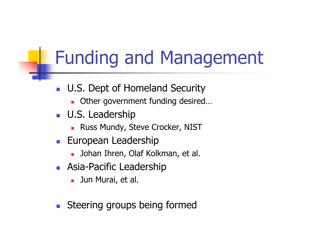# Funding and Management

- **U.S. Dept of Homeland Security** 
	- **Deta Cheef government funding desired...**
- **U.S. Leadership** 
	- **Russ Mundy, Steve Crocker, NIST**
- **European Leadership** 
	- **Johan Ihren, Olaf Kolkman, et al.**
- **Asia-Pacific Leadership** 
	- **Jun Murai**, et al.
- Steering groups being formed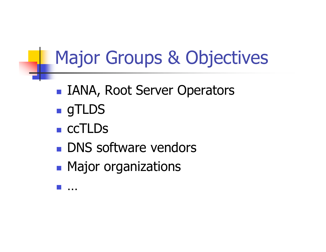# Major Groups & Objectives

- IANA, Root Server Operators
- **gTLDS**
- **CCTLDs**
- **DNS** software vendors
- **Major organizations**

…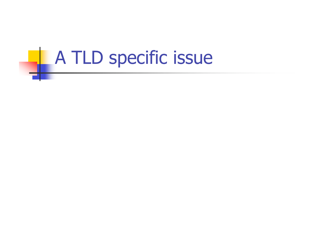# **A TLD specific issue**